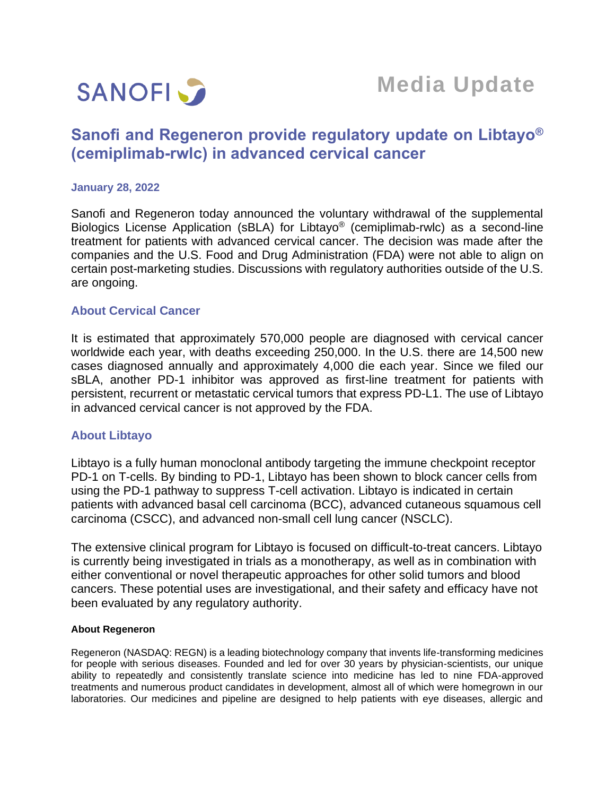

# **Media Update**

# **Sanofi and Regeneron provide regulatory update on Libtayo® (cemiplimab-rwlc) in advanced cervical cancer**

### **January 28, 2022**

Sanofi and Regeneron today announced the voluntary withdrawal of the supplemental Biologics License Application (sBLA) for Libtayo® (cemiplimab-rwlc) as a second-line treatment for patients with advanced cervical cancer. The decision was made after the companies and the U.S. Food and Drug Administration (FDA) were not able to align on certain post-marketing studies. Discussions with regulatory authorities outside of the U.S. are ongoing.

## **About Cervical Cancer**

It is estimated that approximately 570,000 people are diagnosed with cervical cancer worldwide each year, with deaths exceeding 250,000. In the U.S. there are 14,500 new cases diagnosed annually and approximately 4,000 die each year. Since we filed our sBLA, another PD-1 inhibitor was approved as first-line treatment for patients with persistent, recurrent or metastatic cervical tumors that express PD-L1. The use of Libtayo in advanced cervical cancer is not approved by the FDA.

### **About Libtayo**

Libtayo is a fully human monoclonal antibody targeting the immune checkpoint receptor PD-1 on T-cells. By binding to PD-1, Libtayo has been shown to block cancer cells from using the PD-1 pathway to suppress T-cell activation. Libtayo is indicated in certain patients with advanced basal cell carcinoma (BCC), advanced cutaneous squamous cell carcinoma (CSCC), and advanced non-small cell lung cancer (NSCLC).

The extensive clinical program for Libtayo is focused on difficult-to-treat cancers. Libtayo is currently being investigated in trials as a monotherapy, as well as in combination with either conventional or novel therapeutic approaches for other solid tumors and blood cancers. These potential uses are investigational, and their safety and efficacy have not been evaluated by any regulatory authority.

### **About Regeneron**

Regeneron (NASDAQ: REGN) is a leading biotechnology company that invents life-transforming medicines for people with serious diseases. Founded and led for over 30 years by physician-scientists, our unique ability to repeatedly and consistently translate science into medicine has led to nine FDA-approved treatments and numerous product candidates in development, almost all of which were homegrown in our laboratories. Our medicines and pipeline are designed to help patients with eye diseases, allergic and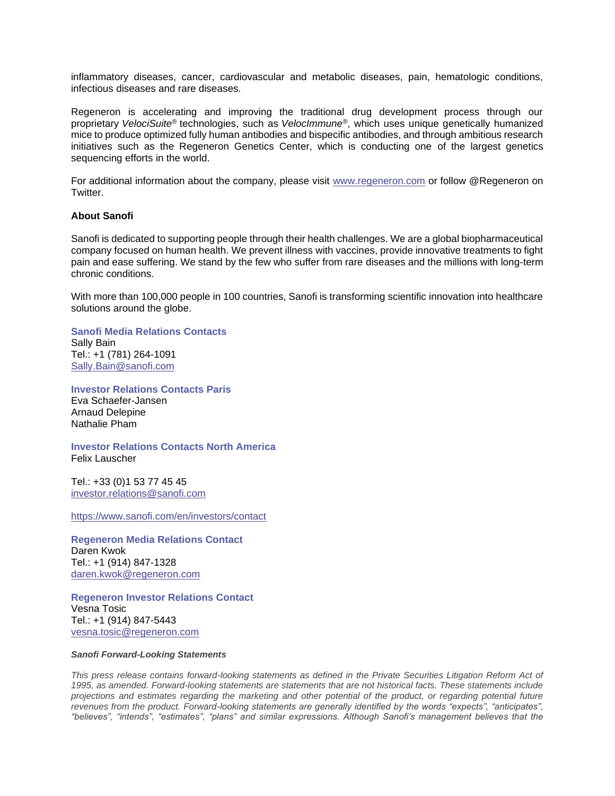inflammatory diseases, cancer, cardiovascular and metabolic diseases, pain, hematologic conditions, infectious diseases and rare diseases.

Regeneron is accelerating and improving the traditional drug development process through our proprietary *VelociSuite®* technologies, such as *VelocImmune®*, which uses unique genetically humanized mice to produce optimized fully human antibodies and bispecific antibodies, and through ambitious research initiatives such as the Regeneron Genetics Center, which is conducting one of the largest genetics sequencing efforts in the world.

For additional information about the company, please visit [www.regeneron.com](http://www.regeneron.com/) or follow @Regeneron on Twitter.

#### **About Sanofi**

Sanofi is dedicated to supporting people through their health challenges. We are a global biopharmaceutical company focused on human health. We prevent illness with vaccines, provide innovative treatments to fight pain and ease suffering. We stand by the few who suffer from rare diseases and the millions with long-term chronic conditions.

With more than 100,000 people in 100 countries, Sanofi is transforming scientific innovation into healthcare solutions around the globe.

**Sanofi Media Relations Contacts** Sally Bain Tel.: +1 (781) 264-1091 [Sally.Bain@sanofi.com](mailto:Sally.Bain@sanofi.com)

**Investor Relations Contacts Paris** Eva Schaefer-Jansen Arnaud Delepine Nathalie Pham

**Investor Relations Contacts North America** Felix Lauscher

Tel.: +33 (0)1 53 77 45 45 [investor.relations@sanofi.com](mailto:investor.relations@sanofi.com)

<https://www.sanofi.com/en/investors/contact>

**Regeneron Media Relations Contact** Daren Kwok Tel.: +1 (914) 847-1328 daren.kwok@regeneron.com

**Regeneron Investor Relations Contact** Vesna Tosic Tel.: +1 (914) 847-5443 [vesna.tosic@regeneron.com](mailto:vesna.tosic@regeneron.com)

#### *Sanofi Forward-Looking Statements*

This press release contains forward-looking statements as defined in the Private Securities Litigation Reform Act of *1995, as amended. Forward-looking statements are statements that are not historical facts. These statements include projections and estimates regarding the marketing and other potential of the product, or regarding potential future revenues from the product. Forward-looking statements are generally identified by the words "expects", "anticipates", "believes", "intends", "estimates", "plans" and similar expressions. Although Sanofi's management believes that the*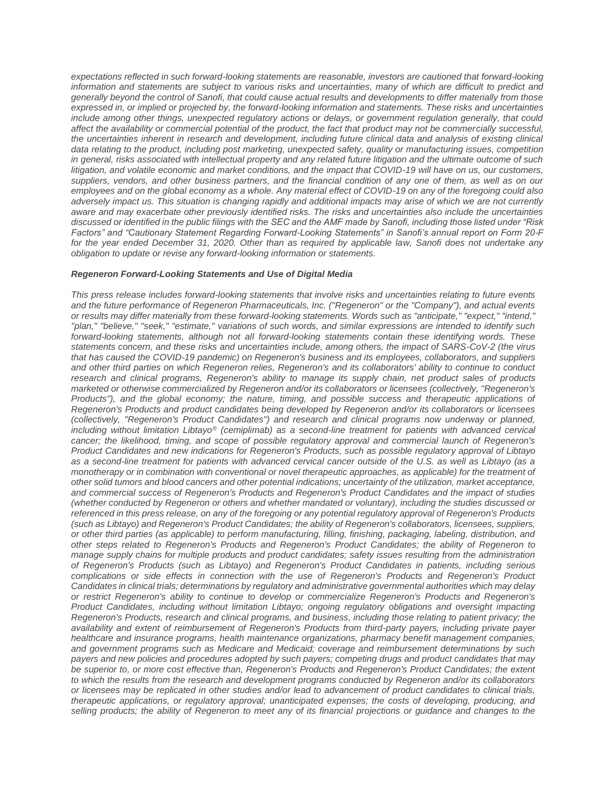*expectations reflected in such forward-looking statements are reasonable, investors are cautioned that forward-looking*  information and statements are subject to various risks and uncertainties, many of which are difficult to predict and *generally beyond the control of Sanofi, that could cause actual results and developments to differ materially from those expressed in, or implied or projected by, the forward-looking information and statements. These risks and uncertainties include among other things, unexpected regulatory actions or delays, or government regulation generally, that could affect the availability or commercial potential of the product, the fact that product may not be commercially successful, the uncertainties inherent in research and development, including future clinical data and analysis of existing clinical data relating to the product, including post marketing, unexpected safety, quality or manufacturing issues, competition in general, risks associated with intellectual property and any related future litigation and the ultimate outcome of such litigation, and volatile economic and market conditions, and the impact that COVID-19 will have on us, our customers, suppliers, vendors, and other business partners, and the financial condition of any one of them, as well as on our employees and on the global economy as a whole. Any material effect of COVID-19 on any of the foregoing could also adversely impact us. This situation is changing rapidly and additional impacts may arise of which we are not currently aware and may exacerbate other previously identified risks. The risks and uncertainties also include the uncertainties discussed or identified in the public filings with the SEC and the AMF made by Sanofi, including those listed under "Risk Factors" and "Cautionary Statement Regarding Forward-Looking Statements" in Sanofi's annual report on Form 20-F for the year ended December 31, 2020. Other than as required by applicable law, Sanofi does not undertake any obligation to update or revise any forward-looking information or statements.*

#### *Regeneron Forward-Looking Statements and Use of Digital Media*

*This press release includes forward-looking statements that involve risks and uncertainties relating to future events and the future performance of Regeneron Pharmaceuticals, Inc. ("Regeneron" or the "Company"), and actual events or results may differ materially from these forward-looking statements. Words such as "anticipate," "expect," "intend," "plan," "believe," "seek," "estimate," variations of such words, and similar expressions are intended to identify such forward-looking statements, although not all forward-looking statements contain these identifying words. These statements concern, and these risks and uncertainties include, among others, the impact of SARS-CoV-2 (the virus that has caused the COVID-19 pandemic) on Regeneron's business and its employees, collaborators, and suppliers and other third parties on which Regeneron relies, Regeneron's and its collaborators' ability to continue to conduct research and clinical programs, Regeneron's ability to manage its supply chain, net product sales of products marketed or otherwise commercialized by Regeneron and/or its collaborators or licensees (collectively, "Regeneron's Products"), and the global economy; the nature, timing, and possible success and therapeutic applications of Regeneron's Products and product candidates being developed by Regeneron and/or its collaborators or licensees (collectively, "Regeneron's Product Candidates") and research and clinical programs now underway or planned, including without limitation Libtayo® (cemiplimab) as a second-line treatment for patients with advanced cervical cancer; the likelihood, timing, and scope of possible regulatory approval and commercial launch of Regeneron's Product Candidates and new indications for Regeneron's Products, such as possible regulatory approval of Libtayo as a second-line treatment for patients with advanced cervical cancer outside of the U.S. as well as Libtayo (as a monotherapy or in combination with conventional or novel therapeutic approaches, as applicable) for the treatment of other solid tumors and blood cancers and other potential indications; uncertainty of the utilization, market acceptance, and commercial success of Regeneron's Products and Regeneron's Product Candidates and the impact of studies (whether conducted by Regeneron or others and whether mandated or voluntary), including the studies discussed or referenced in this press release, on any of the foregoing or any potential regulatory approval of Regeneron's Products (such as Libtayo) and Regeneron's Product Candidates; the ability of Regeneron's collaborators, licensees, suppliers, or other third parties (as applicable) to perform manufacturing, filling, finishing, packaging, labeling, distribution, and other steps related to Regeneron's Products and Regeneron's Product Candidates; the ability of Regeneron to manage supply chains for multiple products and product candidates; safety issues resulting from the administration of Regeneron's Products (such as Libtayo) and Regeneron's Product Candidates in patients, including serious complications or side effects in connection with the use of Regeneron's Products and Regeneron's Product Candidates in clinical trials; determinations by regulatory and administrative governmental authorities which may delay or restrict Regeneron's ability to continue to develop or commercialize Regeneron's Products and Regeneron's Product Candidates, including without limitation Libtayo; ongoing regulatory obligations and oversight impacting Regeneron's Products, research and clinical programs, and business, including those relating to patient privacy; the availability and extent of reimbursement of Regeneron's Products from third-party payers, including private payer healthcare and insurance programs, health maintenance organizations, pharmacy benefit management companies, and government programs such as Medicare and Medicaid; coverage and reimbursement determinations by such payers and new policies and procedures adopted by such payers; competing drugs and product candidates that may be superior to, or more cost effective than, Regeneron's Products and Regeneron's Product Candidates; the extent to which the results from the research and development programs conducted by Regeneron and/or its collaborators or licensees may be replicated in other studies and/or lead to advancement of product candidates to clinical trials, therapeutic applications, or regulatory approval; unanticipated expenses; the costs of developing, producing, and selling products; the ability of Regeneron to meet any of its financial projections or guidance and changes to the*